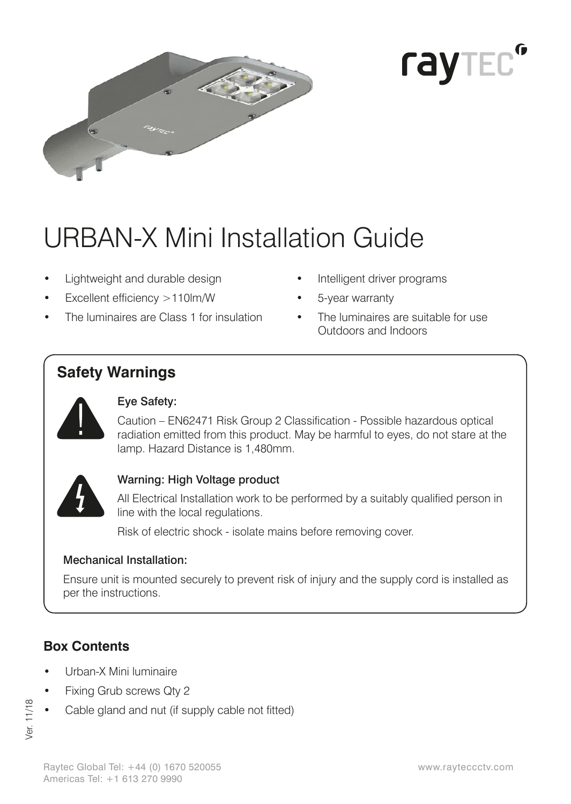



# URBAN-X Mini Installation Guide

- Lightweight and durable design
- Excellent efficiency >110lm/W
- The luminaires are Class 1 for insulation
- Intelligent driver programs
- 5-year warranty
- The luminaires are suitable for use Outdoors and Indoors

# **Safety Warnings**



#### Eye Safety:

Caution – EN62471 Risk Group 2 Classification - Possible hazardous optical radiation emitted from this product. May be harmful to eyes, do not stare at the lamp. Hazard Distance is 1,480mm.



#### Warning: High Voltage product

All Electrical Installation work to be performed by a suitably qualified person in line with the local regulations.

Risk of electric shock - isolate mains before removing cover.

#### Mechanical Installation:

Ensure unit is mounted securely to prevent risk of injury and the supply cord is installed as per the instructions.

# **Box Contents**

- Urban-X Mini luminaire
- Fixing Grub screws Qty 2
- Cable gland and nut (if supply cable not fitted)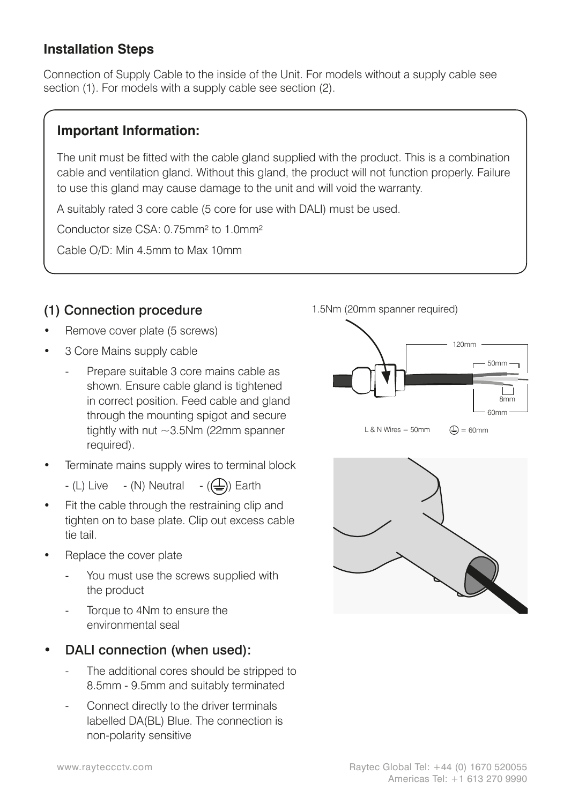#### **Installation Steps**

Connection of Supply Cable to the inside of the Unit. For models without a supply cable see section (1). For models with a supply cable see section (2).

#### **Important Information:**

The unit must be fitted with the cable gland supplied with the product. This is a combination cable and ventilation gland. Without this gland, the product will not function properly. Failure to use this gland may cause damage to the unit and will void the warranty.

A suitably rated 3 core cable (5 core for use with DALI) must be used.

Conductor size CSA: 0.75mm² to 1.0mm²

Cable O/D: Min 4.5mm to Max 10mm

#### (1) Connection procedure

- Remove cover plate (5 screws)
- 3 Core Mains supply cable
	- Prepare suitable 3 core mains cable as shown. Ensure cable gland is tightened in correct position. Feed cable and gland through the mounting spigot and secure tightly with nut ~3.5Nm (22mm spanner required).
- Terminate mains supply wires to terminal block
	- $-$  (L) Live  $-$  (N) Neutral  $-$  ( $\bigoplus$ ) Earth
- Fit the cable through the restraining clip and tighten on to base plate. Clip out excess cable tie tail.
- Replace the cover plate
	- You must use the screws supplied with the product
	- Torque to 4Nm to ensure the environmental seal
- DALI connection (when used):
	- The additional cores should be stripped to 8.5mm - 9.5mm and suitably terminated
	- Connect directly to the driver terminals labelled DA(BL) Blue. The connection is non-polarity sensitive



 $L$  & N Wires = 50mm



 $\bigoplus$  = 60mm

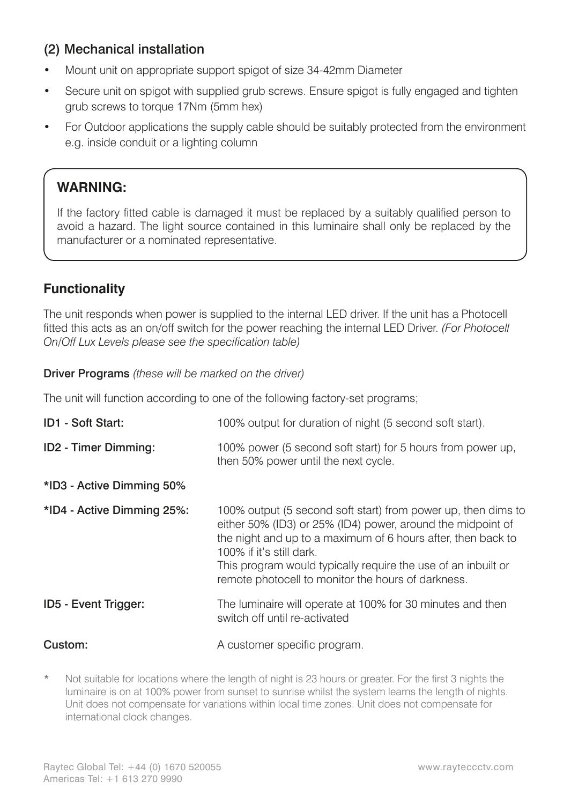#### (2) Mechanical installation

- • Mount unit on appropriate support spigot of size 34-42mm Diameter
- Secure unit on spigot with supplied grub screws. Ensure spigot is fully engaged and tighten grub screws to torque 17Nm (5mm hex)
- For Outdoor applications the supply cable should be suitably protected from the environment e.g. inside conduit or a lighting column

#### **WARNING:**

If the factory fitted cable is damaged it must be replaced by a suitably qualified person to avoid a hazard. The light source contained in this luminaire shall only be replaced by the manufacturer or a nominated representative.

#### **Functionality**

The unit responds when power is supplied to the internal LED driver. If the unit has a Photocell fitted this acts as an on/off switch for the power reaching the internal LED Driver. *(For Photocell On/Off Lux Levels please see the specification table)*

Driver Programs *(these will be marked on the driver)*

The unit will function according to one of the following factory-set programs;

| ID1 - Soft Start:          | 100% output for duration of night (5 second soft start).                                                                                                                                                                                                                                                                                        |  |
|----------------------------|-------------------------------------------------------------------------------------------------------------------------------------------------------------------------------------------------------------------------------------------------------------------------------------------------------------------------------------------------|--|
| ID2 - Timer Dimming:       | 100% power (5 second soft start) for 5 hours from power up,<br>then 50% power until the next cycle.                                                                                                                                                                                                                                             |  |
| *ID3 - Active Dimming 50%  |                                                                                                                                                                                                                                                                                                                                                 |  |
| *ID4 - Active Dimming 25%: | 100% output (5 second soft start) from power up, then dims to<br>either 50% (ID3) or 25% (ID4) power, around the midpoint of<br>the night and up to a maximum of 6 hours after, then back to<br>100% if it's still dark.<br>This program would typically require the use of an inbuilt or<br>remote photocell to monitor the hours of darkness. |  |
| ID5 - Event Trigger:       | The luminaire will operate at 100% for 30 minutes and then<br>switch off until re-activated                                                                                                                                                                                                                                                     |  |
| Custom:                    | A customer specific program.                                                                                                                                                                                                                                                                                                                    |  |

Not suitable for locations where the length of night is 23 hours or greater. For the first 3 nights the luminaire is on at 100% power from sunset to sunrise whilst the system learns the length of nights. Unit does not compensate for variations within local time zones. Unit does not compensate for international clock changes.